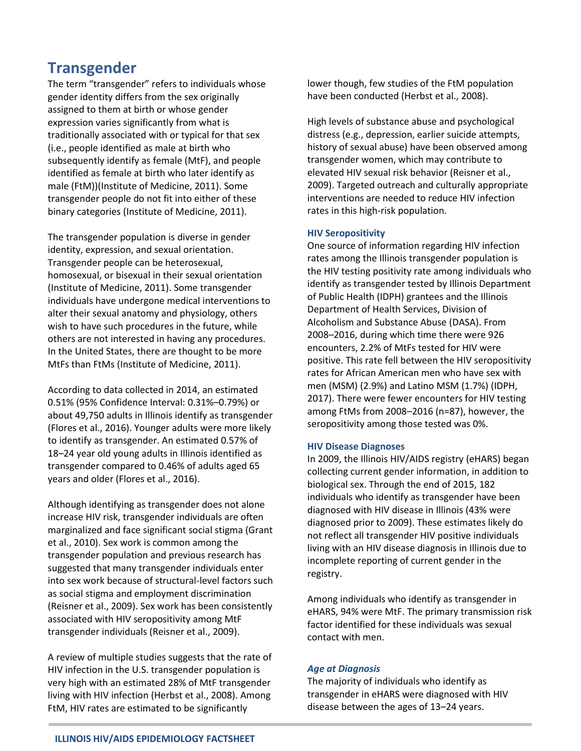# **Transgender**

The term "transgender" refers to individuals whose gender identity differs from the sex originally assigned to them at birth or whose gender expression varies significantly from what is traditionally associated with or typical for that sex (i.e., people identified as male at birth who subsequently identify as female (MtF), and people identified as female at birth who later identify as male (FtM))(Institute of Medicine, 2011). Some transgender people do not fit into either of these binary categories (Institute of Medicine, 2011).

The transgender population is diverse in gender identity, expression, and sexual orientation. Transgender people can be heterosexual, homosexual, or bisexual in their sexual orientation (Institute of Medicine, 2011). Some transgender individuals have undergone medical interventions to alter their sexual anatomy and physiology, others wish to have such procedures in the future, while others are not interested in having any procedures. In the United States, there are thought to be more MtFs than FtMs (Institute of Medicine, 2011).

According to data collected in 2014, an estimated 0.51% (95% Confidence Interval: 0.31%–0.79%) or about 49,750 adults in Illinois identify as transgender (Flores et al., 2016). Younger adults were more likely to identify as transgender. An estimated 0.57% of 18–24 year old young adults in Illinois identified as transgender compared to 0.46% of adults aged 65 years and older (Flores et al., 2016).

Although identifying as transgender does not alone increase HIV risk, transgender individuals are often marginalized and face significant social stigma (Grant et al., 2010). Sex work is common among the transgender population and previous research has suggested that many transgender individuals enter into sex work because of structural-level factors such as social stigma and employment discrimination (Reisner et al., 2009). Sex work has been consistently associated with HIV seropositivity among MtF transgender individuals (Reisner et al., 2009).

A review of multiple studies suggests that the rate of HIV infection in the U.S. transgender population is very high with an estimated 28% of MtF transgender living with HIV infection (Herbst et al., 2008). Among FtM, HIV rates are estimated to be significantly

lower though, few studies of the FtM population have been conducted (Herbst et al., 2008).

High levels of substance abuse and psychological distress (e.g., depression, earlier suicide attempts, history of sexual abuse) have been observed among transgender women, which may contribute to elevated HIV sexual risk behavior (Reisner et al., 2009). Targeted outreach and culturally appropriate interventions are needed to reduce HIV infection rates in this high-risk population.

### **HIV Seropositivity**

One source of information regarding HIV infection rates among the Illinois transgender population is the HIV testing positivity rate among individuals who identify as transgender tested by Illinois Department of Public Health (IDPH) grantees and the Illinois Department of Health Services, Division of Alcoholism and Substance Abuse (DASA). From 2008–2016, during which time there were 926 encounters, 2.2% of MtFs tested for HIV were positive. This rate fell between the HIV seropositivity rates for African American men who have sex with men (MSM) (2.9%) and Latino MSM (1.7%) (IDPH, 2017). There were fewer encounters for HIV testing among FtMs from 2008–2016 (n=87), however, the seropositivity among those tested was 0%.

#### **HIV Disease Diagnoses**

In 2009, the Illinois HIV/AIDS registry (eHARS) began collecting current gender information, in addition to biological sex. Through the end of 2015, 182 individuals who identify as transgender have been diagnosed with HIV disease in Illinois (43% were diagnosed prior to 2009). These estimates likely do not reflect all transgender HIV positive individuals living with an HIV disease diagnosis in Illinois due to incomplete reporting of current gender in the registry.

Among individuals who identify as transgender in eHARS, 94% were MtF. The primary transmission risk factor identified for these individuals was sexual contact with men.

#### *Age at Diagnosis*

The majority of individuals who identify as transgender in eHARS were diagnosed with HIV disease between the ages of 13–24 years.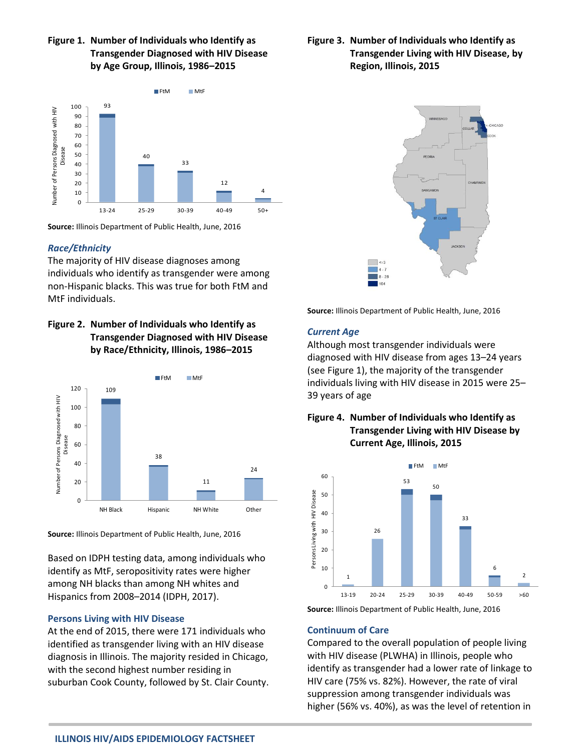## **Figure 1. Number of Individuals who Identify as Transgender Diagnosed with HIV Disease by Age Group, Illinois, 1986–2015**



**Source:** Illinois Department of Public Health, June, 2016

### *Race/Ethnicity*

The majority of HIV disease diagnoses among individuals who identify as transgender were among non-Hispanic blacks. This was true for both FtM and MtF individuals.

# **Figure 2. Number of Individuals who Identify as Transgender Diagnosed with HIV Disease by Race/Ethnicity, Illinois, 1986–2015**



**Source:** Illinois Department of Public Health, June, 2016

Based on IDPH testing data, among individuals who identify as MtF, seropositivity rates were higher among NH blacks than among NH whites and Hispanics from 2008–2014 (IDPH, 2017).

## **Persons Living with HIV Disease**

At the end of 2015, there were 171 individuals who identified as transgender living with an HIV disease diagnosis in Illinois. The majority resided in Chicago, with the second highest number residing in suburban Cook County, followed by St. Clair County.

# **Figure 3. Number of Individuals who Identify as Transgender Living with HIV Disease, by Region, Illinois, 2015**



**Source:** Illinois Department of Public Health, June, 2016

## *Current Age*

Although most transgender individuals were diagnosed with HIV disease from ages 13–24 years (see Figure 1), the majority of the transgender individuals living with HIV disease in 2015 were 25– 39 years of age

# **Figure 4. Number of Individuals who Identify as Transgender Living with HIV Disease by Current Age, Illinois, 2015**



**Source:** Illinois Department of Public Health, June, 2016

## **Continuum of Care**

Compared to the overall population of people living with HIV disease (PLWHA) in Illinois, people who identify as transgender had a lower rate of linkage to HIV care (75% vs. 82%). However, the rate of viral suppression among transgender individuals was higher (56% vs. 40%), as was the level of retention in